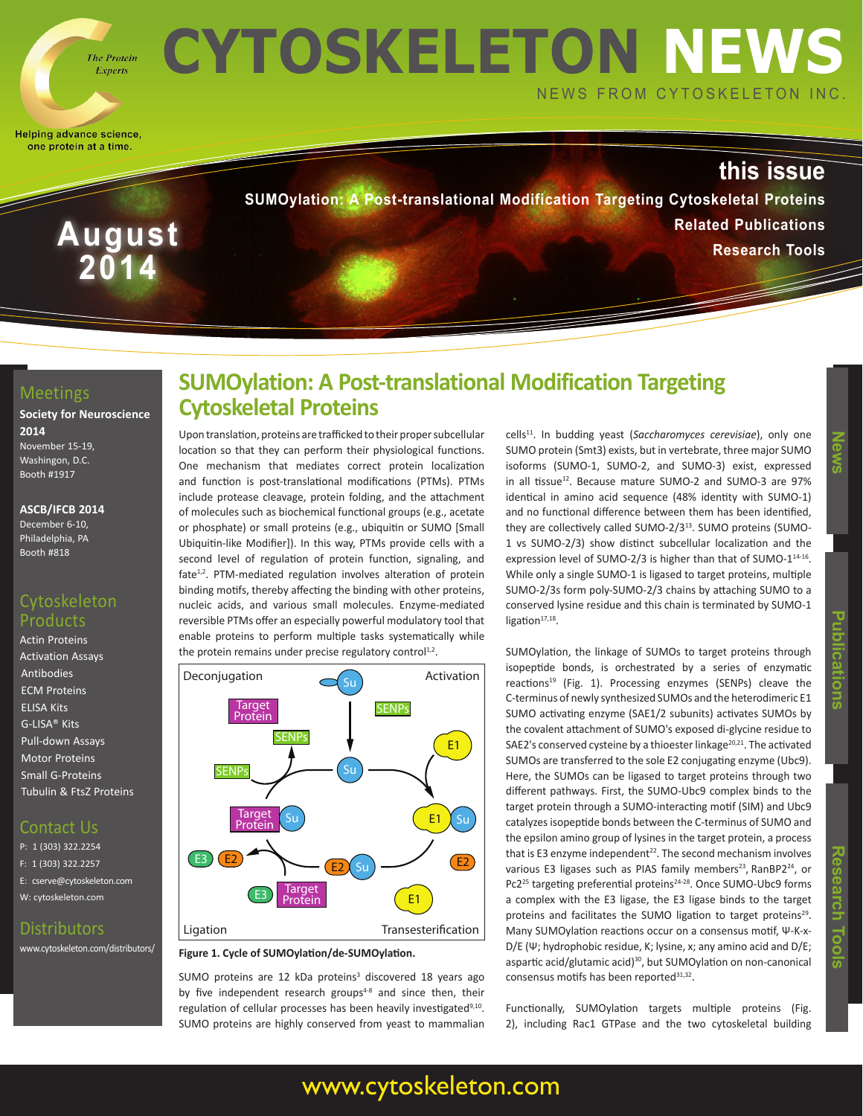

**August**

**2014**

# **CYTOSKELETON NEWS** NEWS FROM CYTOSKELETON INC.

Helping advance science, one protein at a time.

## **this issue**

**SUMOylation: A Post-translational Modification Targeting Cytoskeletal Proteins Related Publications Research Tools**

#### **Meetings**

**Society for Neuroscience 2014** November 15-19,

Washingon, D.C. Booth #1917

#### **ASCB/IFCB 2014**

December 6-10, Philadelphia, PA Booth #818

#### Cytoskeleton Products

Actin Proteins Activation Assays **Antibodies** ECM Proteins ELISA Kits G-LISA® Kits Pull-down Assays Motor Proteins Small G-Proteins Tubulin & FtsZ Proteins

### Contact Us

P: 1 (303) 322.2254 F: 1 (303) 322.2257 E: cserve@cytoskeleton.com W: cytoskeleton.com

#### **Distributors**

www.cytoskeleton.com/distributors/

## **SUMOylation: A Post-translational Modification Targeting Cytoskeletal Proteins**

Upon translation, proteins are trafficked to their proper subcellular location so that they can perform their physiological functions. One mechanism that mediates correct protein localization and function is post-translational modifications (PTMs). PTMs include protease cleavage, protein folding, and the attachment of molecules such as biochemical functional groups (e.g., acetate or phosphate) or small proteins (e.g., ubiquitin or SUMO [Small Ubiquitin-like Modifier]). In this way, PTMs provide cells with a second level of regulation of protein function, signaling, and fate<sup>1,2</sup>. PTM-mediated regulation involves alteration of protein binding motifs, thereby affecting the binding with other proteins, nucleic acids, and various small molecules. Enzyme-mediated reversible PTMs offer an especially powerful modulatory tool that enable proteins to perform multiple tasks systematically while the protein remains under precise regulatory control<sup>1,2</sup>.



#### **Figure 1. Cycle of SUMOylation/de-SUMOylation.**

SUMO proteins are 12 kDa proteins<sup>3</sup> discovered 18 years ago by five independent research groups<sup>4-8</sup> and since then, their regulation of cellular processes has been heavily investigated<sup>9,10</sup>. SUMO proteins are highly conserved from yeast to mammalian

cells11. In budding yeast (*Saccharomyces cerevisiae*), only one SUMO protein (Smt3) exists, but in vertebrate, three major SUMO isoforms (SUMO-1, SUMO-2, and SUMO-3) exist, expressed in all tissue<sup>12</sup>. Because mature SUMO-2 and SUMO-3 are 97% identical in amino acid sequence (48% identity with SUMO-1) and no functional difference between them has been identified, they are collectively called SUMO-2/3<sup>13</sup>. SUMO proteins (SUMO-1 vs SUMO-2/3) show distinct subcellular localization and the expression level of SUMO-2/3 is higher than that of SUMO-1<sup>14-16</sup>. While only a single SUMO-1 is ligased to target proteins, multiple SUMO-2/3s form poly-SUMO-2/3 chains by attaching SUMO to a conserved lysine residue and this chain is terminated by SUMO-1 ligation $17,18$ .

SUMOylation, the linkage of SUMOs to target proteins through isopeptide bonds, is orchestrated by a series of enzymatic reactions<sup>19</sup> (Fig. 1). Processing enzymes (SENPs) cleave the C-terminus of newly synthesized SUMOs and the heterodimeric E1 SUMO activating enzyme (SAE1/2 subunits) activates SUMOs by the covalent attachment of SUMO's exposed di-glycine residue to SAE2's conserved cysteine by a thioester linkage<sup>20,21</sup>. The activated SUMOs are transferred to the sole E2 conjugating enzyme (Ubc9). Here, the SUMOs can be ligased to target proteins through two different pathways. First, the SUMO-Ubc9 complex binds to the target protein through a SUMO-interacting motif (SIM) and Ubc9 catalyzes isopeptide bonds between the C-terminus of SUMO and the epsilon amino group of lysines in the target protein, a process that is E3 enzyme independent<sup>22</sup>. The second mechanism involves various E3 ligases such as PIAS family members<sup>23</sup>, RanBP2<sup>24</sup>, or Pc2<sup>25</sup> targeting preferential proteins<sup>24-28</sup>. Once SUMO-Ubc9 forms a complex with the E3 ligase, the E3 ligase binds to the target

proteins and facilitates the SUMO ligation to target proteins<sup>29</sup>. Many SUMOylation reactions occur on a consensus motif, Ψ-K-x-D/E (Ψ; hydrophobic residue, K; lysine, x; any amino acid and D/E; aspartic acid/glutamic acid)<sup>30</sup>, but SUMOylation on non-canonical consensus motifs has been reported<sup>31,32</sup>.

Functionally, SUMOylation targets multiple proteins (Fig. 2), including Rac1 GTPase and the two cytoskeletal building